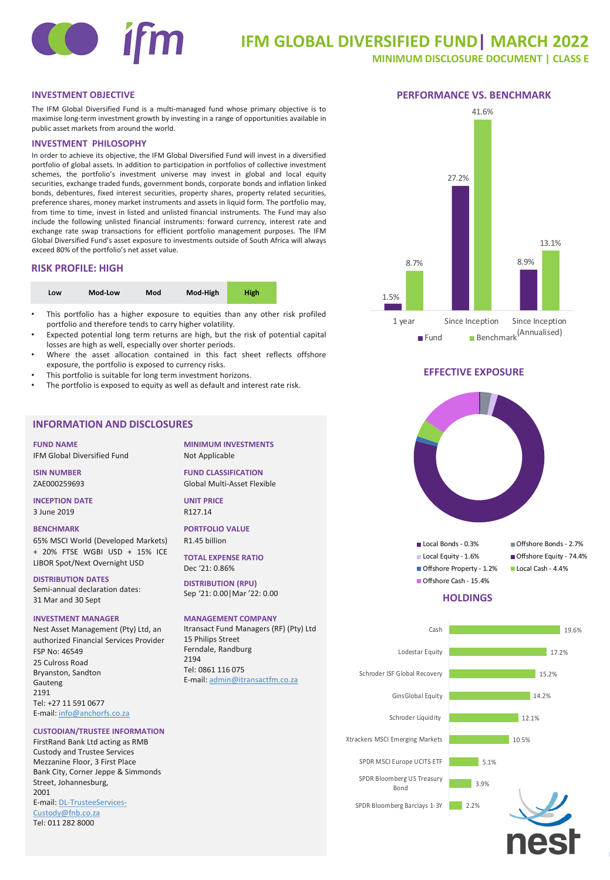# **IFM GLOBAL DIVERSIFIED FUND| MARCH 2022**

**MINIMUM DISCLOSURE DOCUMENT | CLASS E**

# **INVESTMENT OBJECTIVE PERFORMANCE VS. BENCHMARK**

The IFM Global Diversified Fund is a multi-managed fund whose primary objective is to maximise long-term investment growth by investing in a range of opportunities available in public asset markets from around the world.

### **INVESTMENT PHILOSOPHY**

In order to achieve its objective, the IFM Global Diversified Fund will invest in a diversified portfolio of global assets. In addition to participation in portfolios of collective investment schemes, the portfolio's investment universe may invest in global and local equity securities, exchange traded funds, government bonds, corporate bonds and inflation linked bonds, debentures, fixed interest securities, property shares, property related securities, preference shares, money market instruments and assets in liquid form. The portfolio may, from time to time, invest in listed and unlisted financial instruments. The Fund may also include the following unlisted financial instruments: forward currency, interest rate and exchange rate swap transactions for efficient portfolio management purposes. The IFM Global Diversified Fund's asset exposure to investments outside of South Africa will always exceed 80% of the portfolio's net asset value.

## **RISK PROFILE: HIGH**

| Low | Mod-Low | Mod | Mod-High | <b>High</b> |  |
|-----|---------|-----|----------|-------------|--|
|-----|---------|-----|----------|-------------|--|

- This portfolio has a higher exposure to equities than any other risk profiled portfolio and therefore tends to carry higher volatility.
- Expected potential long term returns are high, but the risk of potential capital losses are high as well, especially over shorter periods.
- Where the asset allocation contained in this fact sheet reflects offshore exposure, the portfolio is exposed to currency risks.
- This portfolio is suitable for long term investment horizons.
- The portfolio is exposed to equity as well as default and interest rate risk.

# **INFORMATION AND DISCLOSURES**

**FUND NAME** IFM Global Diversified Fund

**ISIN NUMBER** ZAE000259693

**INCEPTION DATE** 3 June 2019

### **BENCHMARK**

65% MSCI World (Developed Markets) + 20% FTSE WGBI USD + 15% ICE LIBOR Spot/Next Overnight USD

### **DISTRIBUTION DATES**

Semi-annual declaration dates: 31 Mar and 30 Sept

### **INVESTMENT MANAGER**

Nest Asset Management (Pty) Ltd, an authorized Financial Services Provider FSP No: 46549 25 Culross Road Bryanston, Sandton Gauteng 2191 Tel: +27 11 591 0677 E-mail: [info@anchorfs.co.za](mailto:info@anchorfs.co.za)

## **CUSTODIAN/TRUSTEE INFORMATION**

FirstRand Bank Ltd acting as RMB Custody and Trustee Services Mezzanine Floor, 3 First Place Bank City, Corner Jeppe & Simmonds Street, Johannesburg, 2001 [E-mail: DL-TrusteeServices-](mailto:DL-TrusteeServices-Custody@fnb.co.za)Custody@fnb.co.za Tel: 011 282 8000

**MINIMUM INVESTMENTS** Not Applicable

**FUND CLASSIFICATION** Global Multi-Asset Flexible

**UNIT PRICE** R127.14

**PORTFOLIO VALUE** R1.45 billion

**TOTAL EXPENSE RATIO** Dec '21: 0.86%

**DISTRIBUTION (RPU)** Sep '21: 0.00|Mar '22: 0.00

### **MANAGEMENT COMPANY**

Itransact Fund Managers (RF) (Pty) Ltd 15 Philips Street Ferndale, Randburg 2194 Tel: 0861 116 075 E-mail: [admin@itransactfm.co.za](mailto:admin@itransactfm.co.za)





# **EFFECTIVE EXPOSURE**





# **HOLDINGS**